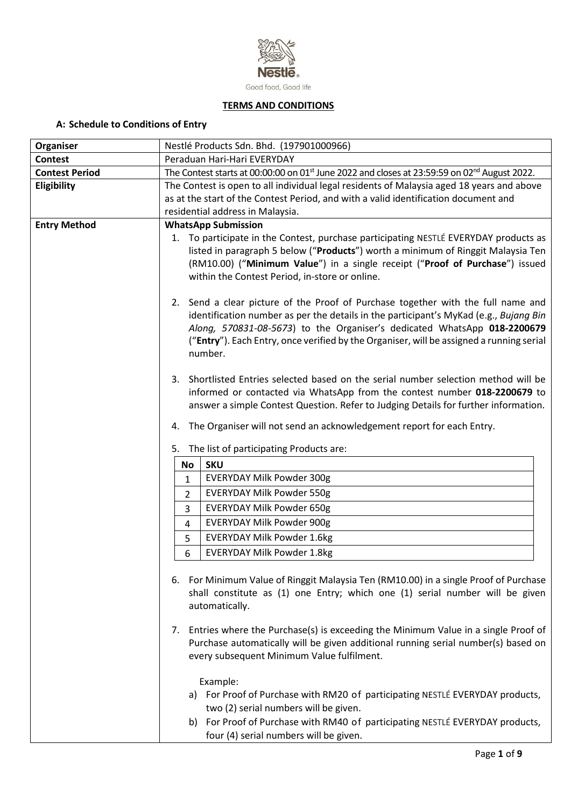

## **TERMS AND CONDITIONS**

# **A: Schedule to Conditions of Entry**

| Organiser             | Nestlé Products Sdn. Bhd. (197901000966)                                                                                                                                                                                                                                                                                                                     |
|-----------------------|--------------------------------------------------------------------------------------------------------------------------------------------------------------------------------------------------------------------------------------------------------------------------------------------------------------------------------------------------------------|
| <b>Contest</b>        | Peraduan Hari-Hari EVERYDAY                                                                                                                                                                                                                                                                                                                                  |
| <b>Contest Period</b> | The Contest starts at 00:00:00 on 01 <sup>st</sup> June 2022 and closes at 23:59:59 on 02 <sup>nd</sup> August 2022.                                                                                                                                                                                                                                         |
| Eligibility           | The Contest is open to all individual legal residents of Malaysia aged 18 years and above                                                                                                                                                                                                                                                                    |
|                       | as at the start of the Contest Period, and with a valid identification document and                                                                                                                                                                                                                                                                          |
|                       | residential address in Malaysia.                                                                                                                                                                                                                                                                                                                             |
| <b>Entry Method</b>   | <b>WhatsApp Submission</b>                                                                                                                                                                                                                                                                                                                                   |
|                       | 1. To participate in the Contest, purchase participating NESTLÉ EVERYDAY products as<br>listed in paragraph 5 below ("Products") worth a minimum of Ringgit Malaysia Ten<br>(RM10.00) ("Minimum Value") in a single receipt ("Proof of Purchase") issued<br>within the Contest Period, in-store or online.                                                   |
|                       | 2. Send a clear picture of the Proof of Purchase together with the full name and<br>identification number as per the details in the participant's MyKad (e.g., Bujang Bin<br>Along, 570831-08-5673) to the Organiser's dedicated WhatsApp 018-2200679<br>("Entry"). Each Entry, once verified by the Organiser, will be assigned a running serial<br>number. |
|                       | 3. Shortlisted Entries selected based on the serial number selection method will be<br>informed or contacted via WhatsApp from the contest number 018-2200679 to<br>answer a simple Contest Question. Refer to Judging Details for further information.                                                                                                      |
|                       | The Organiser will not send an acknowledgement report for each Entry.<br>4.                                                                                                                                                                                                                                                                                  |
|                       | 5. The list of participating Products are:                                                                                                                                                                                                                                                                                                                   |
|                       | <b>SKU</b><br>No                                                                                                                                                                                                                                                                                                                                             |
|                       | <b>EVERYDAY Milk Powder 300g</b><br>1                                                                                                                                                                                                                                                                                                                        |
|                       | <b>EVERYDAY Milk Powder 550g</b><br>2                                                                                                                                                                                                                                                                                                                        |
|                       | <b>EVERYDAY Milk Powder 650g</b><br>3                                                                                                                                                                                                                                                                                                                        |
|                       | <b>EVERYDAY Milk Powder 900g</b><br>4                                                                                                                                                                                                                                                                                                                        |
|                       | <b>EVERYDAY Milk Powder 1.6kg</b><br>5                                                                                                                                                                                                                                                                                                                       |
|                       | <b>EVERYDAY Milk Powder 1.8kg</b>                                                                                                                                                                                                                                                                                                                            |
|                       | 6                                                                                                                                                                                                                                                                                                                                                            |
|                       | 6. For Minimum Value of Ringgit Malaysia Ten (RM10.00) in a single Proof of Purchase<br>shall constitute as (1) one Entry; which one (1) serial number will be given<br>automatically.                                                                                                                                                                       |
|                       | Entries where the Purchase(s) is exceeding the Minimum Value in a single Proof of<br>7.<br>Purchase automatically will be given additional running serial number(s) based on<br>every subsequent Minimum Value fulfilment.                                                                                                                                   |
|                       | Example:<br>a) For Proof of Purchase with RM20 of participating NESTLÉ EVERYDAY products,<br>two (2) serial numbers will be given.<br>b) For Proof of Purchase with RM40 of participating NESTLÉ EVERYDAY products,<br>four (4) serial numbers will be given.                                                                                                |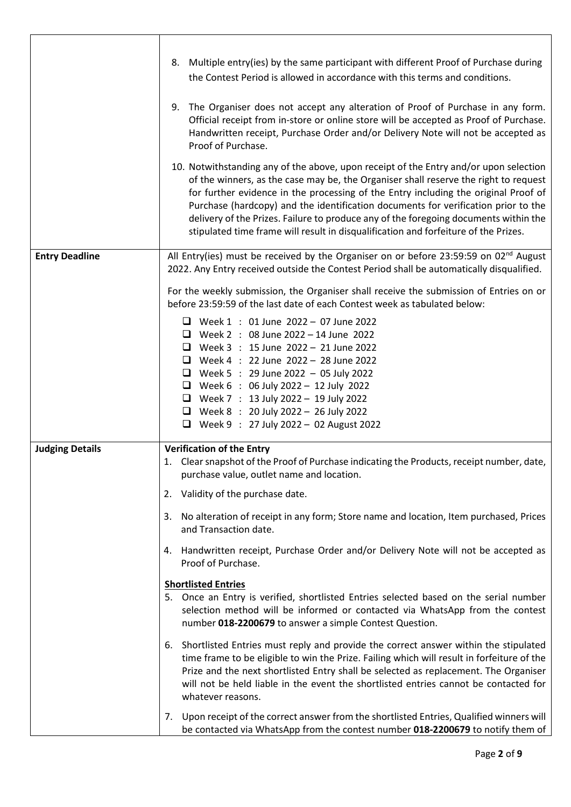|                        | 8. Multiple entry(ies) by the same participant with different Proof of Purchase during<br>the Contest Period is allowed in accordance with this terms and conditions.                                                                                                                                                                                                                                                                                                                                                                     |
|------------------------|-------------------------------------------------------------------------------------------------------------------------------------------------------------------------------------------------------------------------------------------------------------------------------------------------------------------------------------------------------------------------------------------------------------------------------------------------------------------------------------------------------------------------------------------|
|                        | 9. The Organiser does not accept any alteration of Proof of Purchase in any form.<br>Official receipt from in-store or online store will be accepted as Proof of Purchase.<br>Handwritten receipt, Purchase Order and/or Delivery Note will not be accepted as<br>Proof of Purchase.                                                                                                                                                                                                                                                      |
|                        | 10. Notwithstanding any of the above, upon receipt of the Entry and/or upon selection<br>of the winners, as the case may be, the Organiser shall reserve the right to request<br>for further evidence in the processing of the Entry including the original Proof of<br>Purchase (hardcopy) and the identification documents for verification prior to the<br>delivery of the Prizes. Failure to produce any of the foregoing documents within the<br>stipulated time frame will result in disqualification and forfeiture of the Prizes. |
| <b>Entry Deadline</b>  | All Entry(ies) must be received by the Organiser on or before 23:59:59 on 02 <sup>nd</sup> August<br>2022. Any Entry received outside the Contest Period shall be automatically disqualified.                                                                                                                                                                                                                                                                                                                                             |
|                        | For the weekly submission, the Organiser shall receive the submission of Entries on or<br>before 23:59:59 of the last date of each Contest week as tabulated below:                                                                                                                                                                                                                                                                                                                                                                       |
|                        | $\Box$ Week 1 : 01 June 2022 - 07 June 2022<br><b>U</b> Week 2 : 08 June 2022 - 14 June 2022<br>$\Box$ Week 3 : 15 June 2022 - 21 June 2022<br><b>U</b> Week 4 : 22 June 2022 - 28 June 2022<br>□ Week 5 : 29 June 2022 - 05 July 2022<br><b>U</b> Week 6 : 06 July 2022 - 12 July 2022<br><b>U</b> Week 7 : 13 July 2022 - 19 July 2022<br>$\Box$ Week 8 : 20 July 2022 - 26 July 2022<br>□ Week 9 : 27 July 2022 - 02 August 2022                                                                                                       |
| <b>Judging Details</b> | <b>Verification of the Entry</b><br>1. Clear snapshot of the Proof of Purchase indicating the Products, receipt number, date,<br>purchase value, outlet name and location.                                                                                                                                                                                                                                                                                                                                                                |
|                        | 2. Validity of the purchase date.                                                                                                                                                                                                                                                                                                                                                                                                                                                                                                         |
|                        | 3. No alteration of receipt in any form; Store name and location, Item purchased, Prices<br>and Transaction date.                                                                                                                                                                                                                                                                                                                                                                                                                         |
|                        | 4. Handwritten receipt, Purchase Order and/or Delivery Note will not be accepted as<br>Proof of Purchase.                                                                                                                                                                                                                                                                                                                                                                                                                                 |
|                        | <b>Shortlisted Entries</b><br>5. Once an Entry is verified, shortlisted Entries selected based on the serial number<br>selection method will be informed or contacted via WhatsApp from the contest<br>number 018-2200679 to answer a simple Contest Question.                                                                                                                                                                                                                                                                            |
|                        | Shortlisted Entries must reply and provide the correct answer within the stipulated<br>6.<br>time frame to be eligible to win the Prize. Failing which will result in forfeiture of the<br>Prize and the next shortlisted Entry shall be selected as replacement. The Organiser<br>will not be held liable in the event the shortlisted entries cannot be contacted for<br>whatever reasons.                                                                                                                                              |
|                        | 7. Upon receipt of the correct answer from the shortlisted Entries, Qualified winners will<br>be contacted via WhatsApp from the contest number 018-2200679 to notify them of                                                                                                                                                                                                                                                                                                                                                             |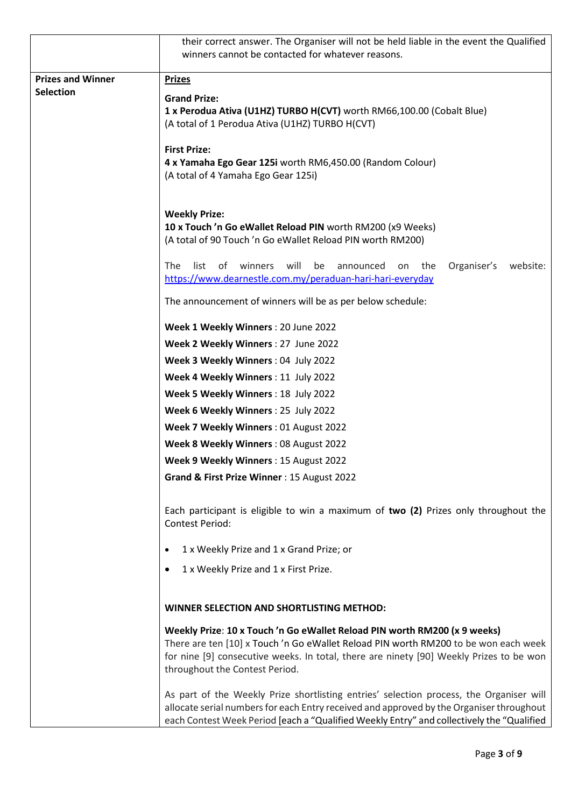|                          | their correct answer. The Organiser will not be held liable in the event the Qualified<br>winners cannot be contacted for whatever reasons.                                                                                                                                                   |
|--------------------------|-----------------------------------------------------------------------------------------------------------------------------------------------------------------------------------------------------------------------------------------------------------------------------------------------|
| <b>Prizes and Winner</b> | <b>Prizes</b>                                                                                                                                                                                                                                                                                 |
| <b>Selection</b>         | <b>Grand Prize:</b><br>1 x Perodua Ativa (U1HZ) TURBO H(CVT) worth RM66,100.00 (Cobalt Blue)<br>(A total of 1 Perodua Ativa (U1HZ) TURBO H(CVT)                                                                                                                                               |
|                          | <b>First Prize:</b><br>4 x Yamaha Ego Gear 125i worth RM6,450.00 (Random Colour)<br>(A total of 4 Yamaha Ego Gear 125i)                                                                                                                                                                       |
|                          | <b>Weekly Prize:</b><br>10 x Touch 'n Go eWallet Reload PIN worth RM200 (x9 Weeks)<br>(A total of 90 Touch 'n Go eWallet Reload PIN worth RM200)                                                                                                                                              |
|                          | list<br>of<br>winners<br>will<br>website:<br><b>The</b><br>be<br>announced<br>the<br>Organiser's<br>on<br>https://www.dearnestle.com.my/peraduan-hari-hari-everyday                                                                                                                           |
|                          | The announcement of winners will be as per below schedule:                                                                                                                                                                                                                                    |
|                          | Week 1 Weekly Winners: 20 June 2022                                                                                                                                                                                                                                                           |
|                          | Week 2 Weekly Winners : 27 June 2022                                                                                                                                                                                                                                                          |
|                          | Week 3 Weekly Winners: 04 July 2022                                                                                                                                                                                                                                                           |
|                          | Week 4 Weekly Winners : 11 July 2022                                                                                                                                                                                                                                                          |
|                          | Week 5 Weekly Winners: 18 July 2022                                                                                                                                                                                                                                                           |
|                          | Week 6 Weekly Winners : 25 July 2022                                                                                                                                                                                                                                                          |
|                          | Week 7 Weekly Winners: 01 August 2022                                                                                                                                                                                                                                                         |
|                          | Week 8 Weekly Winners: 08 August 2022                                                                                                                                                                                                                                                         |
|                          | Week 9 Weekly Winners: 15 August 2022                                                                                                                                                                                                                                                         |
|                          | Grand & First Prize Winner: 15 August 2022                                                                                                                                                                                                                                                    |
|                          | Each participant is eligible to win a maximum of two (2) Prizes only throughout the<br><b>Contest Period:</b>                                                                                                                                                                                 |
|                          | 1 x Weekly Prize and 1 x Grand Prize; or                                                                                                                                                                                                                                                      |
|                          | 1 x Weekly Prize and 1 x First Prize.                                                                                                                                                                                                                                                         |
|                          | WINNER SELECTION AND SHORTLISTING METHOD:                                                                                                                                                                                                                                                     |
|                          | Weekly Prize: 10 x Touch 'n Go eWallet Reload PIN worth RM200 (x 9 weeks)<br>There are ten [10] x Touch 'n Go eWallet Reload PIN worth RM200 to be won each week<br>for nine [9] consecutive weeks. In total, there are ninety [90] Weekly Prizes to be won<br>throughout the Contest Period. |
|                          | As part of the Weekly Prize shortlisting entries' selection process, the Organiser will<br>allocate serial numbers for each Entry received and approved by the Organiser throughout<br>each Contest Week Period [each a "Qualified Weekly Entry" and collectively the "Qualified              |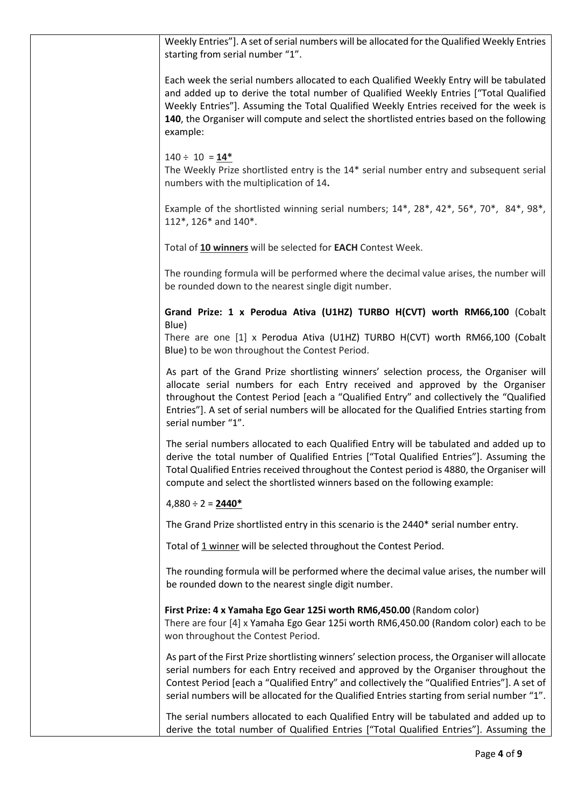| Weekly Entries"]. A set of serial numbers will be allocated for the Qualified Weekly Entries<br>starting from serial number "1".                                                                                                                                                                                                                                                         |
|------------------------------------------------------------------------------------------------------------------------------------------------------------------------------------------------------------------------------------------------------------------------------------------------------------------------------------------------------------------------------------------|
| Each week the serial numbers allocated to each Qualified Weekly Entry will be tabulated<br>and added up to derive the total number of Qualified Weekly Entries ["Total Qualified<br>Weekly Entries"]. Assuming the Total Qualified Weekly Entries received for the week is<br>140, the Organiser will compute and select the shortlisted entries based on the following<br>example:      |
| $140 \div 10 = 14*$<br>The Weekly Prize shortlisted entry is the 14* serial number entry and subsequent serial<br>numbers with the multiplication of 14.                                                                                                                                                                                                                                 |
| Example of the shortlisted winning serial numbers; 14*, 28*, 42*, 56*, 70*, 84*, 98*,<br>112*, 126* and 140*.                                                                                                                                                                                                                                                                            |
| Total of 10 winners will be selected for EACH Contest Week.                                                                                                                                                                                                                                                                                                                              |
| The rounding formula will be performed where the decimal value arises, the number will<br>be rounded down to the nearest single digit number.                                                                                                                                                                                                                                            |
| Grand Prize: 1 x Perodua Ativa (U1HZ) TURBO H(CVT) worth RM66,100 (Cobalt<br>Blue)                                                                                                                                                                                                                                                                                                       |
| There are one [1] x Perodua Ativa (U1HZ) TURBO H(CVT) worth RM66,100 (Cobalt<br>Blue) to be won throughout the Contest Period.                                                                                                                                                                                                                                                           |
| As part of the Grand Prize shortlisting winners' selection process, the Organiser will<br>allocate serial numbers for each Entry received and approved by the Organiser<br>throughout the Contest Period [each a "Qualified Entry" and collectively the "Qualified<br>Entries"]. A set of serial numbers will be allocated for the Qualified Entries starting from<br>serial number "1". |
| The serial numbers allocated to each Qualified Entry will be tabulated and added up to<br>derive the total number of Qualified Entries ["Total Qualified Entries"]. Assuming the<br>Total Qualified Entries received throughout the Contest period is 4880, the Organiser will<br>compute and select the shortlisted winners based on the following example:                             |
| $4,880 \div 2 = 2440*$                                                                                                                                                                                                                                                                                                                                                                   |
| The Grand Prize shortlisted entry in this scenario is the 2440* serial number entry.                                                                                                                                                                                                                                                                                                     |
| Total of 1 winner will be selected throughout the Contest Period.                                                                                                                                                                                                                                                                                                                        |
| The rounding formula will be performed where the decimal value arises, the number will<br>be rounded down to the nearest single digit number.                                                                                                                                                                                                                                            |
| First Prize: 4 x Yamaha Ego Gear 125i worth RM6,450.00 (Random color)<br>There are four [4] x Yamaha Ego Gear 125i worth RM6,450.00 (Random color) each to be<br>won throughout the Contest Period.                                                                                                                                                                                      |
| As part of the First Prize shortlisting winners' selection process, the Organiser will allocate<br>serial numbers for each Entry received and approved by the Organiser throughout the<br>Contest Period [each a "Qualified Entry" and collectively the "Qualified Entries"]. A set of<br>serial numbers will be allocated for the Qualified Entries starting from serial number "1".    |
| The serial numbers allocated to each Qualified Entry will be tabulated and added up to<br>derive the total number of Qualified Entries ["Total Qualified Entries"]. Assuming the                                                                                                                                                                                                         |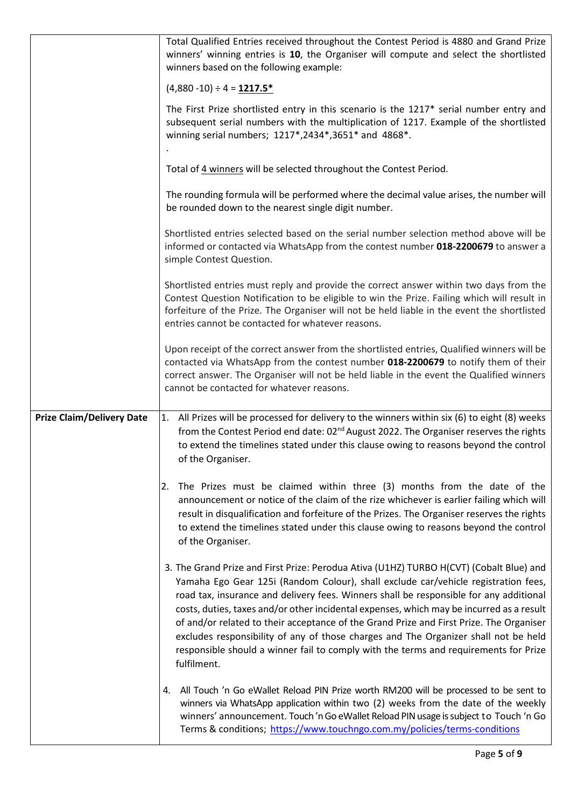|                                  | Total Qualified Entries received throughout the Contest Period is 4880 and Grand Prize<br>winners' winning entries is 10, the Organiser will compute and select the shortlisted<br>winners based on the following example:                                                                                                                                                                                                                                                                                                                                                                                                                                   |
|----------------------------------|--------------------------------------------------------------------------------------------------------------------------------------------------------------------------------------------------------------------------------------------------------------------------------------------------------------------------------------------------------------------------------------------------------------------------------------------------------------------------------------------------------------------------------------------------------------------------------------------------------------------------------------------------------------|
|                                  | $(4,880-10) \div 4 = 1217.5*$                                                                                                                                                                                                                                                                                                                                                                                                                                                                                                                                                                                                                                |
|                                  | The First Prize shortlisted entry in this scenario is the 1217* serial number entry and<br>subsequent serial numbers with the multiplication of 1217. Example of the shortlisted<br>winning serial numbers; 1217*,2434*,3651* and 4868*.                                                                                                                                                                                                                                                                                                                                                                                                                     |
|                                  | Total of 4 winners will be selected throughout the Contest Period.                                                                                                                                                                                                                                                                                                                                                                                                                                                                                                                                                                                           |
|                                  | The rounding formula will be performed where the decimal value arises, the number will<br>be rounded down to the nearest single digit number.                                                                                                                                                                                                                                                                                                                                                                                                                                                                                                                |
|                                  | Shortlisted entries selected based on the serial number selection method above will be<br>informed or contacted via WhatsApp from the contest number 018-2200679 to answer a<br>simple Contest Question.                                                                                                                                                                                                                                                                                                                                                                                                                                                     |
|                                  | Shortlisted entries must reply and provide the correct answer within two days from the<br>Contest Question Notification to be eligible to win the Prize. Failing which will result in<br>forfeiture of the Prize. The Organiser will not be held liable in the event the shortlisted<br>entries cannot be contacted for whatever reasons.                                                                                                                                                                                                                                                                                                                    |
|                                  | Upon receipt of the correct answer from the shortlisted entries, Qualified winners will be<br>contacted via WhatsApp from the contest number 018-2200679 to notify them of their<br>correct answer. The Organiser will not be held liable in the event the Qualified winners<br>cannot be contacted for whatever reasons.                                                                                                                                                                                                                                                                                                                                    |
| <b>Prize Claim/Delivery Date</b> | 1. All Prizes will be processed for delivery to the winners within six (6) to eight (8) weeks<br>from the Contest Period end date: 02 <sup>nd</sup> August 2022. The Organiser reserves the rights<br>to extend the timelines stated under this clause owing to reasons beyond the control<br>of the Organiser.                                                                                                                                                                                                                                                                                                                                              |
|                                  | 2. The Prizes must be claimed within three (3) months from the date of the<br>announcement or notice of the claim of the rize whichever is earlier failing which will<br>result in disqualification and forfeiture of the Prizes. The Organiser reserves the rights<br>to extend the timelines stated under this clause owing to reasons beyond the control<br>of the Organiser.                                                                                                                                                                                                                                                                             |
|                                  | 3. The Grand Prize and First Prize: Perodua Ativa (U1HZ) TURBO H(CVT) (Cobalt Blue) and<br>Yamaha Ego Gear 125i (Random Colour), shall exclude car/vehicle registration fees,<br>road tax, insurance and delivery fees. Winners shall be responsible for any additional<br>costs, duties, taxes and/or other incidental expenses, which may be incurred as a result<br>of and/or related to their acceptance of the Grand Prize and First Prize. The Organiser<br>excludes responsibility of any of those charges and The Organizer shall not be held<br>responsible should a winner fail to comply with the terms and requirements for Prize<br>fulfilment. |
|                                  | All Touch 'n Go eWallet Reload PIN Prize worth RM200 will be processed to be sent to<br>4.<br>winners via WhatsApp application within two (2) weeks from the date of the weekly<br>winners' announcement. Touch 'n Go eWallet Reload PIN usage is subject to Touch 'n Go<br>Terms & conditions; https://www.touchngo.com.my/policies/terms-conditions                                                                                                                                                                                                                                                                                                        |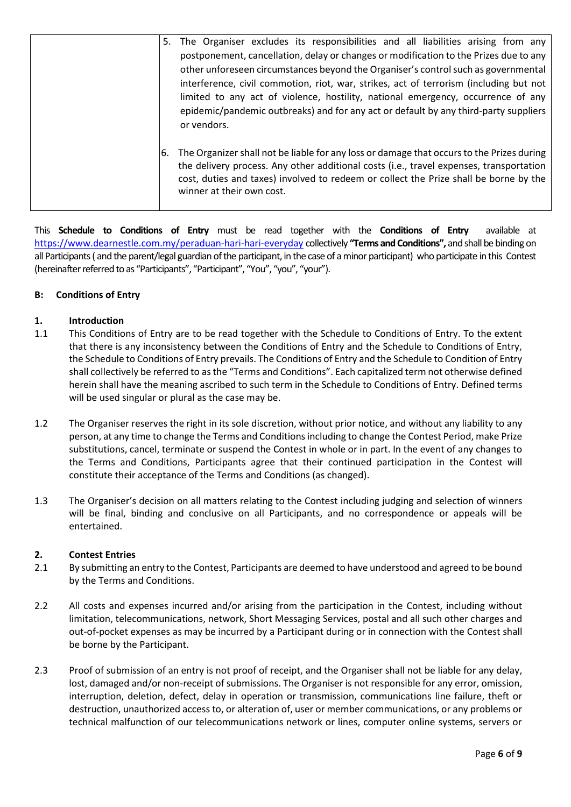| 5. The Organiser excludes its responsibilities and all liabilities arising from any<br>postponement, cancellation, delay or changes or modification to the Prizes due to any<br>other unforeseen circumstances beyond the Organiser's control such as governmental<br>interference, civil commotion, riot, war, strikes, act of terrorism (including but not<br>limited to any act of violence, hostility, national emergency, occurrence of any<br>epidemic/pandemic outbreaks) and for any act or default by any third-party suppliers |
|------------------------------------------------------------------------------------------------------------------------------------------------------------------------------------------------------------------------------------------------------------------------------------------------------------------------------------------------------------------------------------------------------------------------------------------------------------------------------------------------------------------------------------------|
| or vendors.<br>The Organizer shall not be liable for any loss or damage that occurs to the Prizes during<br>6.<br>the delivery process. Any other additional costs (i.e., travel expenses, transportation<br>cost, duties and taxes) involved to redeem or collect the Prize shall be borne by the<br>winner at their own cost.                                                                                                                                                                                                          |

This **Schedule to Conditions of Entry** must be read together with the **Conditions of Entry** available at [https://www.dearnestle.com.my/p](https://www.dearnestle.com.my/peraduan-nestlé-riang-ria-kuih-raya)eraduan-hari-hari-everyday collectively **"Terms and Conditions",** and shall be binding on all Participants( and the parent/legal guardian of the participant, in the case of a minor participant) who participate in this Contest (hereinafter referred to as "Participants", "Participant", "You", "you", "your").

## **B: Conditions of Entry**

## **1. Introduction**

- 1.1 This Conditions of Entry are to be read together with the Schedule to Conditions of Entry. To the extent that there is any inconsistency between the Conditions of Entry and the Schedule to Conditions of Entry, the Schedule to Conditions of Entry prevails. The Conditions of Entry and the Schedule to Condition of Entry shall collectively be referred to as the "Terms and Conditions". Each capitalized term not otherwise defined herein shall have the meaning ascribed to such term in the Schedule to Conditions of Entry. Defined terms will be used singular or plural as the case may be.
- 1.2 The Organiser reserves the right in its sole discretion, without prior notice, and without any liability to any person, at any time to change the Terms and Conditionsincluding to change the Contest Period, make Prize substitutions, cancel, terminate or suspend the Contest in whole or in part. In the event of any changes to the Terms and Conditions, Participants agree that their continued participation in the Contest will constitute their acceptance of the Terms and Conditions (as changed).
- 1.3 The Organiser's decision on all matters relating to the Contest including judging and selection of winners will be final, binding and conclusive on all Participants, and no correspondence or appeals will be entertained.

#### **2. Contest Entries**

- 2.1 By submitting an entry to the Contest, Participants are deemed to have understood and agreed to be bound by the Terms and Conditions.
- 2.2 All costs and expenses incurred and/or arising from the participation in the Contest, including without limitation, telecommunications, network, Short Messaging Services, postal and all such other charges and out-of-pocket expenses as may be incurred by a Participant during or in connection with the Contest shall be borne by the Participant.
- 2.3 Proof of submission of an entry is not proof of receipt, and the Organiser shall not be liable for any delay, lost, damaged and/or non-receipt of submissions. The Organiser is not responsible for any error, omission, interruption, deletion, defect, delay in operation or transmission, communications line failure, theft or destruction, unauthorized access to, or alteration of, user or member communications, or any problems or technical malfunction of our telecommunications network or lines, computer online systems, servers or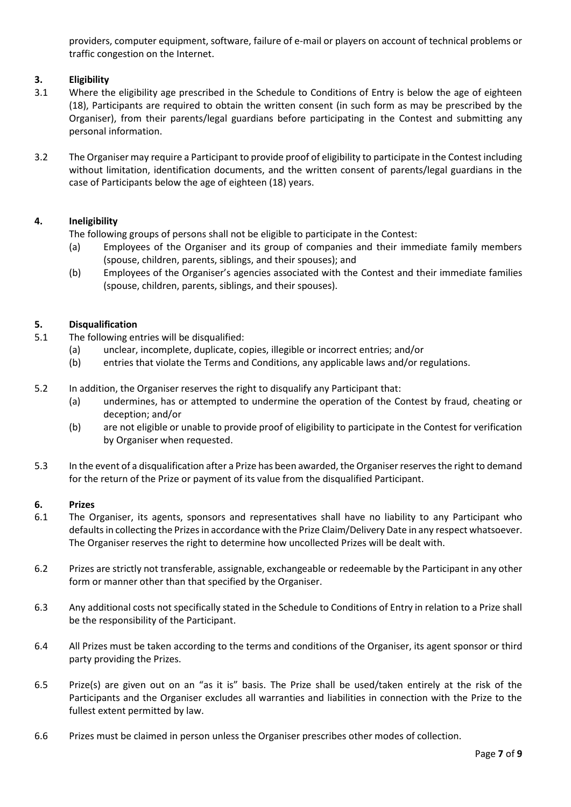providers, computer equipment, software, failure of e-mail or players on account of technical problems or traffic congestion on the Internet.

## **3. Eligibility**

- 3.1 Where the eligibility age prescribed in the Schedule to Conditions of Entry is below the age of eighteen (18), Participants are required to obtain the written consent (in such form as may be prescribed by the Organiser), from their parents/legal guardians before participating in the Contest and submitting any personal information.
- 3.2 The Organiser may require a Participant to provide proof of eligibility to participate in the Contest including without limitation, identification documents, and the written consent of parents/legal guardians in the case of Participants below the age of eighteen (18) years.

## **4. Ineligibility**

The following groups of persons shall not be eligible to participate in the Contest:

- (a) Employees of the Organiser and its group of companies and their immediate family members (spouse, children, parents, siblings, and their spouses); and
- (b) Employees of the Organiser's agencies associated with the Contest and their immediate families (spouse, children, parents, siblings, and their spouses).

## **5. Disqualification**

- 5.1 The following entries will be disqualified:
	- (a) unclear, incomplete, duplicate, copies, illegible or incorrect entries; and/or
	- (b) entries that violate the Terms and Conditions, any applicable laws and/or regulations.
- 5.2 In addition, the Organiser reserves the right to disqualify any Participant that:
	- (a) undermines, has or attempted to undermine the operation of the Contest by fraud, cheating or deception; and/or
	- (b) are not eligible or unable to provide proof of eligibility to participate in the Contest for verification by Organiser when requested.
- 5.3 In the event of a disqualification after a Prize has been awarded, the Organiser reserves the right to demand for the return of the Prize or payment of its value from the disqualified Participant.

## **6. Prizes**

- 6.1 The Organiser, its agents, sponsors and representatives shall have no liability to any Participant who defaults in collecting the Prizes in accordance with the Prize Claim/Delivery Date in any respect whatsoever. The Organiser reserves the right to determine how uncollected Prizes will be dealt with.
- 6.2 Prizes are strictly not transferable, assignable, exchangeable or redeemable by the Participant in any other form or manner other than that specified by the Organiser.
- 6.3 Any additional costs not specifically stated in the Schedule to Conditions of Entry in relation to a Prize shall be the responsibility of the Participant.
- 6.4 All Prizes must be taken according to the terms and conditions of the Organiser, its agent sponsor or third party providing the Prizes.
- 6.5 Prize(s) are given out on an "as it is" basis. The Prize shall be used/taken entirely at the risk of the Participants and the Organiser excludes all warranties and liabilities in connection with the Prize to the fullest extent permitted by law.
- 6.6 Prizes must be claimed in person unless the Organiser prescribes other modes of collection.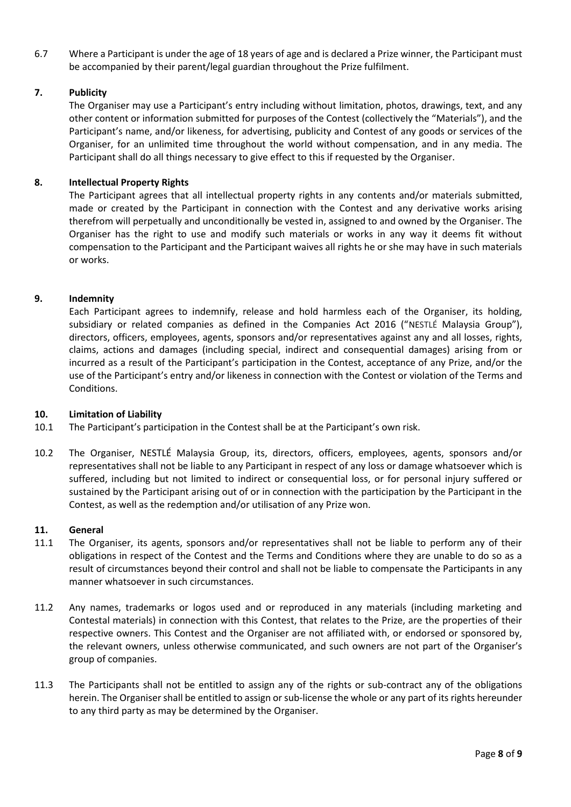6.7 Where a Participant is under the age of 18 years of age and is declared a Prize winner, the Participant must be accompanied by their parent/legal guardian throughout the Prize fulfilment.

### **7. Publicity**

The Organiser may use a Participant's entry including without limitation, photos, drawings, text, and any other content or information submitted for purposes of the Contest (collectively the "Materials"), and the Participant's name, and/or likeness, for advertising, publicity and Contest of any goods or services of the Organiser, for an unlimited time throughout the world without compensation, and in any media. The Participant shall do all things necessary to give effect to this if requested by the Organiser.

#### **8. Intellectual Property Rights**

The Participant agrees that all intellectual property rights in any contents and/or materials submitted, made or created by the Participant in connection with the Contest and any derivative works arising therefrom will perpetually and unconditionally be vested in, assigned to and owned by the Organiser. The Organiser has the right to use and modify such materials or works in any way it deems fit without compensation to the Participant and the Participant waives all rights he or she may have in such materials or works.

#### **9. Indemnity**

Each Participant agrees to indemnify, release and hold harmless each of the Organiser, its holding, subsidiary or related companies as defined in the Companies Act 2016 ("NESTLÉ Malaysia Group"), directors, officers, employees, agents, sponsors and/or representatives against any and all losses, rights, claims, actions and damages (including special, indirect and consequential damages) arising from or incurred as a result of the Participant's participation in the Contest, acceptance of any Prize, and/or the use of the Participant's entry and/or likeness in connection with the Contest or violation of the Terms and Conditions.

#### **10. Limitation of Liability**

- 10.1 The Participant's participation in the Contest shall be at the Participant's own risk.
- 10.2 The Organiser, NESTLÉ Malaysia Group, its, directors, officers, employees, agents, sponsors and/or representatives shall not be liable to any Participant in respect of any loss or damage whatsoever which is suffered, including but not limited to indirect or consequential loss, or for personal injury suffered or sustained by the Participant arising out of or in connection with the participation by the Participant in the Contest, as well as the redemption and/or utilisation of any Prize won.

#### **11. General**

- 11.1 The Organiser, its agents, sponsors and/or representatives shall not be liable to perform any of their obligations in respect of the Contest and the Terms and Conditions where they are unable to do so as a result of circumstances beyond their control and shall not be liable to compensate the Participants in any manner whatsoever in such circumstances.
- 11.2 Any names, trademarks or logos used and or reproduced in any materials (including marketing and Contestal materials) in connection with this Contest, that relates to the Prize, are the properties of their respective owners. This Contest and the Organiser are not affiliated with, or endorsed or sponsored by, the relevant owners, unless otherwise communicated, and such owners are not part of the Organiser's group of companies.
- 11.3 The Participants shall not be entitled to assign any of the rights or sub-contract any of the obligations herein. The Organiser shall be entitled to assign or sub-license the whole or any part of its rights hereunder to any third party as may be determined by the Organiser.